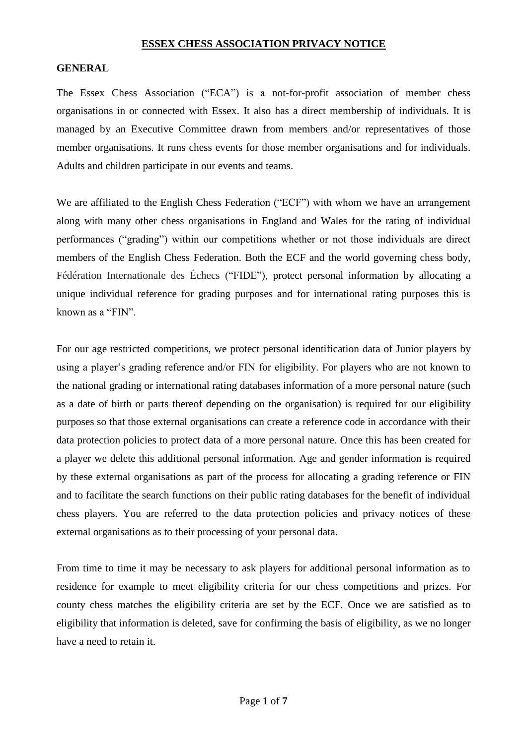#### **ESSEX CHESS ASSOCIATION PRIVACY NOTICE**

#### **GENERAL**

The Essex Chess Association ("ECA") is a not-for-profit association of member chess organisations in or connected with Essex. It also has a direct membership of individuals. It is managed by an Executive Committee drawn from members and/or representatives of those member organisations. It runs chess events for those member organisations and for individuals. Adults and children participate in our events and teams.

We are affiliated to the English Chess Federation ("ECF") with whom we have an arrangement along with many other chess organisations in England and Wales for the rating of individual performances ("grading") within our competitions whether or not those individuals are direct members of the English Chess Federation. Both the ECF and the world governing chess body, Fédération Internationale des Échecs ("FIDE"), protect personal information by allocating a unique individual reference for grading purposes and for international rating purposes this is known as a "FIN".

For our age restricted competitions, we protect personal identification data of Junior players by using a player's grading reference and/or FIN for eligibility. For players who are not known to the national grading or international rating databases information of a more personal nature (such as a date of birth or parts thereof depending on the organisation) is required for our eligibility purposes so that those external organisations can create a reference code in accordance with their data protection policies to protect data of a more personal nature. Once this has been created for a player we delete this additional personal information. Age and gender information is required by these external organisations as part of the process for allocating a grading reference or FIN and to facilitate the search functions on their public rating databases for the benefit of individual chess players. You are referred to the data protection policies and privacy notices of these external organisations as to their processing of your personal data.

From time to time it may be necessary to ask players for additional personal information as to residence for example to meet eligibility criteria for our chess competitions and prizes. For county chess matches the eligibility criteria are set by the ECF. Once we are satisfied as to eligibility that information is deleted, save for confirming the basis of eligibility, as we no longer have a need to retain it.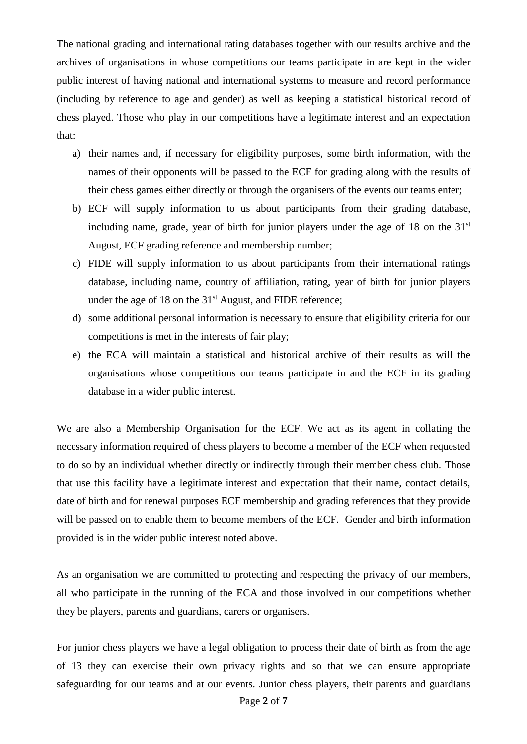The national grading and international rating databases together with our results archive and the archives of organisations in whose competitions our teams participate in are kept in the wider public interest of having national and international systems to measure and record performance (including by reference to age and gender) as well as keeping a statistical historical record of chess played. Those who play in our competitions have a legitimate interest and an expectation that:

- a) their names and, if necessary for eligibility purposes, some birth information, with the names of their opponents will be passed to the ECF for grading along with the results of their chess games either directly or through the organisers of the events our teams enter;
- b) ECF will supply information to us about participants from their grading database, including name, grade, year of birth for junior players under the age of 18 on the 31<sup>st</sup> August, ECF grading reference and membership number;
- c) FIDE will supply information to us about participants from their international ratings database, including name, country of affiliation, rating, year of birth for junior players under the age of 18 on the 31<sup>st</sup> August, and FIDE reference;
- d) some additional personal information is necessary to ensure that eligibility criteria for our competitions is met in the interests of fair play;
- e) the ECA will maintain a statistical and historical archive of their results as will the organisations whose competitions our teams participate in and the ECF in its grading database in a wider public interest.

We are also a Membership Organisation for the ECF. We act as its agent in collating the necessary information required of chess players to become a member of the ECF when requested to do so by an individual whether directly or indirectly through their member chess club. Those that use this facility have a legitimate interest and expectation that their name, contact details, date of birth and for renewal purposes ECF membership and grading references that they provide will be passed on to enable them to become members of the ECF. Gender and birth information provided is in the wider public interest noted above.

As an organisation we are committed to protecting and respecting the privacy of our members, all who participate in the running of the ECA and those involved in our competitions whether they be players, parents and guardians, carers or organisers.

For junior chess players we have a legal obligation to process their date of birth as from the age of 13 they can exercise their own privacy rights and so that we can ensure appropriate safeguarding for our teams and at our events. Junior chess players, their parents and guardians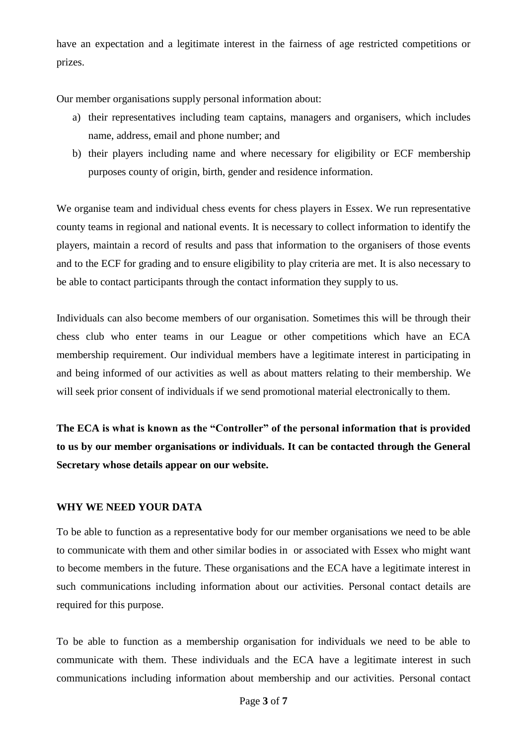have an expectation and a legitimate interest in the fairness of age restricted competitions or prizes.

Our member organisations supply personal information about:

- a) their representatives including team captains, managers and organisers, which includes name, address, email and phone number; and
- b) their players including name and where necessary for eligibility or ECF membership purposes county of origin, birth, gender and residence information.

We organise team and individual chess events for chess players in Essex. We run representative county teams in regional and national events. It is necessary to collect information to identify the players, maintain a record of results and pass that information to the organisers of those events and to the ECF for grading and to ensure eligibility to play criteria are met. It is also necessary to be able to contact participants through the contact information they supply to us.

Individuals can also become members of our organisation. Sometimes this will be through their chess club who enter teams in our League or other competitions which have an ECA membership requirement. Our individual members have a legitimate interest in participating in and being informed of our activities as well as about matters relating to their membership. We will seek prior consent of individuals if we send promotional material electronically to them.

**The ECA is what is known as the "Controller" of the personal information that is provided to us by our member organisations or individuals. It can be contacted through the General Secretary whose details appear on our website.**

# **WHY WE NEED YOUR DATA**

To be able to function as a representative body for our member organisations we need to be able to communicate with them and other similar bodies in or associated with Essex who might want to become members in the future. These organisations and the ECA have a legitimate interest in such communications including information about our activities. Personal contact details are required for this purpose.

To be able to function as a membership organisation for individuals we need to be able to communicate with them. These individuals and the ECA have a legitimate interest in such communications including information about membership and our activities. Personal contact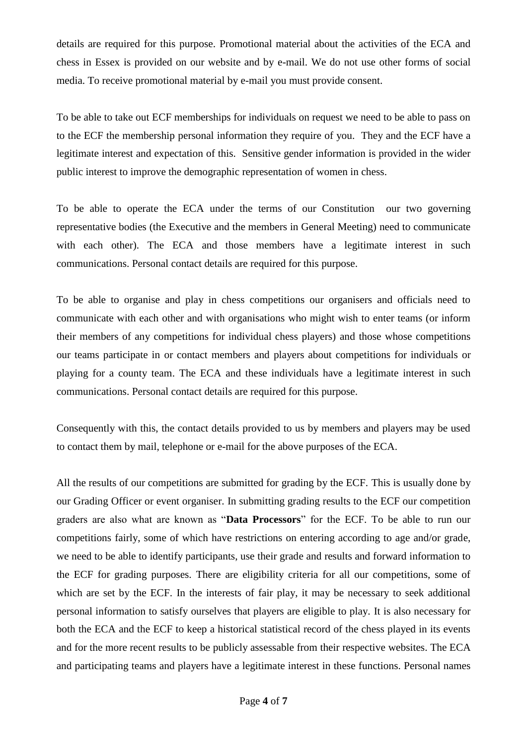details are required for this purpose. Promotional material about the activities of the ECA and chess in Essex is provided on our website and by e-mail. We do not use other forms of social media. To receive promotional material by e-mail you must provide consent.

To be able to take out ECF memberships for individuals on request we need to be able to pass on to the ECF the membership personal information they require of you. They and the ECF have a legitimate interest and expectation of this. Sensitive gender information is provided in the wider public interest to improve the demographic representation of women in chess.

To be able to operate the ECA under the terms of our Constitution our two governing representative bodies (the Executive and the members in General Meeting) need to communicate with each other). The ECA and those members have a legitimate interest in such communications. Personal contact details are required for this purpose.

To be able to organise and play in chess competitions our organisers and officials need to communicate with each other and with organisations who might wish to enter teams (or inform their members of any competitions for individual chess players) and those whose competitions our teams participate in or contact members and players about competitions for individuals or playing for a county team. The ECA and these individuals have a legitimate interest in such communications. Personal contact details are required for this purpose.

Consequently with this, the contact details provided to us by members and players may be used to contact them by mail, telephone or e-mail for the above purposes of the ECA.

All the results of our competitions are submitted for grading by the ECF. This is usually done by our Grading Officer or event organiser. In submitting grading results to the ECF our competition graders are also what are known as "**Data Processors**" for the ECF. To be able to run our competitions fairly, some of which have restrictions on entering according to age and/or grade, we need to be able to identify participants, use their grade and results and forward information to the ECF for grading purposes. There are eligibility criteria for all our competitions, some of which are set by the ECF. In the interests of fair play, it may be necessary to seek additional personal information to satisfy ourselves that players are eligible to play. It is also necessary for both the ECA and the ECF to keep a historical statistical record of the chess played in its events and for the more recent results to be publicly assessable from their respective websites. The ECA and participating teams and players have a legitimate interest in these functions. Personal names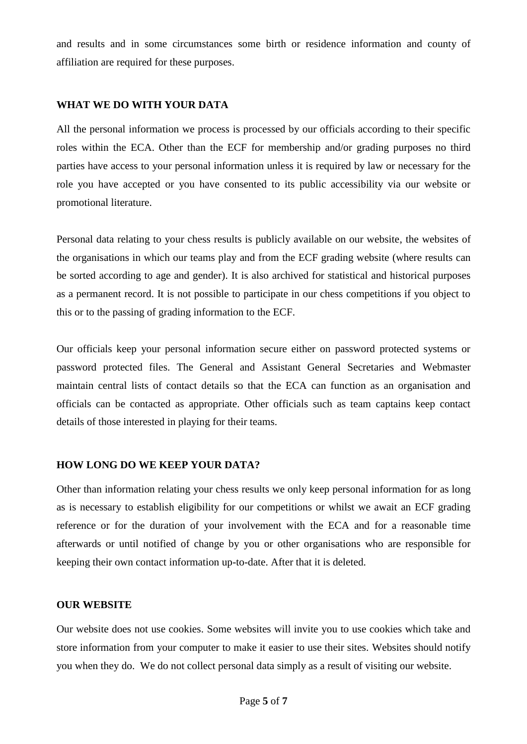and results and in some circumstances some birth or residence information and county of affiliation are required for these purposes.

### **WHAT WE DO WITH YOUR DATA**

All the personal information we process is processed by our officials according to their specific roles within the ECA. Other than the ECF for membership and/or grading purposes no third parties have access to your personal information unless it is required by law or necessary for the role you have accepted or you have consented to its public accessibility via our website or promotional literature.

Personal data relating to your chess results is publicly available on our website, the websites of the organisations in which our teams play and from the ECF grading website (where results can be sorted according to age and gender). It is also archived for statistical and historical purposes as a permanent record. It is not possible to participate in our chess competitions if you object to this or to the passing of grading information to the ECF.

Our officials keep your personal information secure either on password protected systems or password protected files. The General and Assistant General Secretaries and Webmaster maintain central lists of contact details so that the ECA can function as an organisation and officials can be contacted as appropriate. Other officials such as team captains keep contact details of those interested in playing for their teams.

# **HOW LONG DO WE KEEP YOUR DATA?**

Other than information relating your chess results we only keep personal information for as long as is necessary to establish eligibility for our competitions or whilst we await an ECF grading reference or for the duration of your involvement with the ECA and for a reasonable time afterwards or until notified of change by you or other organisations who are responsible for keeping their own contact information up-to-date. After that it is deleted.

#### **OUR WEBSITE**

Our website does not use cookies. Some websites will invite you to use cookies which take and store information from your computer to make it easier to use their sites. Websites should notify you when they do. We do not collect personal data simply as a result of visiting our website.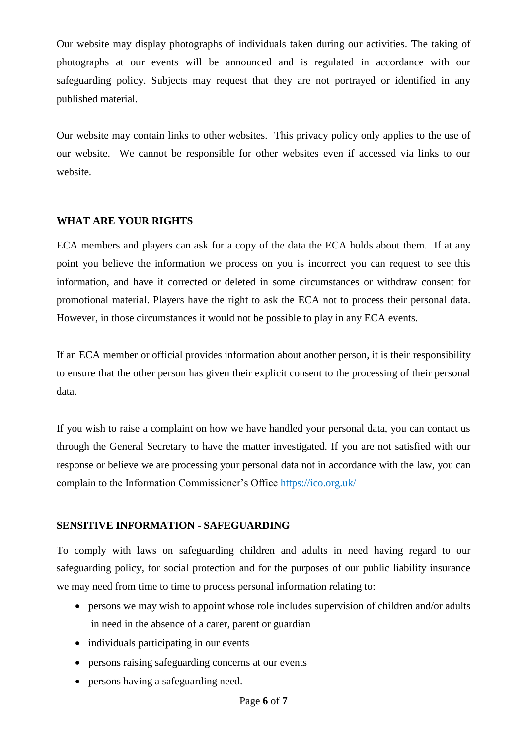Our website may display photographs of individuals taken during our activities. The taking of photographs at our events will be announced and is regulated in accordance with our safeguarding policy. Subjects may request that they are not portrayed or identified in any published material.

Our website may contain links to other websites. This privacy policy only applies to the use of our website. We cannot be responsible for other websites even if accessed via links to our website.

#### **WHAT ARE YOUR RIGHTS**

ECA members and players can ask for a copy of the data the ECA holds about them. If at any point you believe the information we process on you is incorrect you can request to see this information, and have it corrected or deleted in some circumstances or withdraw consent for promotional material. Players have the right to ask the ECA not to process their personal data. However, in those circumstances it would not be possible to play in any ECA events.

If an ECA member or official provides information about another person, it is their responsibility to ensure that the other person has given their explicit consent to the processing of their personal data.

If you wish to raise a complaint on how we have handled your personal data, you can contact us through the General Secretary to have the matter investigated. If you are not satisfied with our response or believe we are processing your personal data not in accordance with the law, you can complain to the Information Commissioner's Office<https://ico.org.uk/>

# **SENSITIVE INFORMATION - SAFEGUARDING**

To comply with laws on safeguarding children and adults in need having regard to our safeguarding policy, for social protection and for the purposes of our public liability insurance we may need from time to time to process personal information relating to:

- persons we may wish to appoint whose role includes supervision of children and/or adults in need in the absence of a carer, parent or guardian
- individuals participating in our events
- persons raising safeguarding concerns at our events
- persons having a safeguarding need.